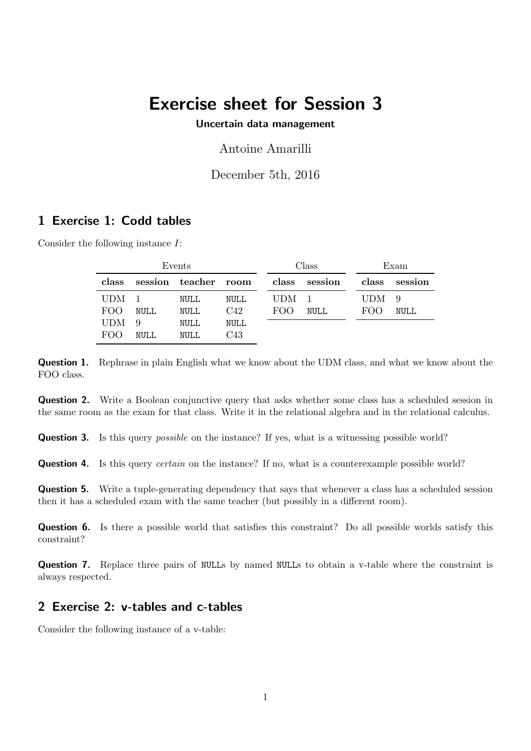# Exercise sheet for Session 3

#### Uncertain data management

Antoine Amarilli

December 5th, 2016

### 1 Exercise 1: Codd tables

Consider the following instance I:

| Events           |             |                      |             | Class            |               | Exam             |             |
|------------------|-------------|----------------------|-------------|------------------|---------------|------------------|-------------|
| class            |             | session teacher room |             |                  | class session | class            | session     |
| UDM <sub>1</sub> |             | NULL                 | NULL        | UDM <sub>1</sub> |               | UDM <sub>9</sub> |             |
| FOO.             | <b>NULL</b> | NULL                 | C42         | FOO              | <b>NULL</b>   | FOO              | <b>NULL</b> |
| <b>UDM</b>       | 9           | NULL                 | <b>NULL</b> |                  |               |                  |             |
| FOO.             | <b>NULL</b> | NULL                 | C43         |                  |               |                  |             |

Question 1. Rephrase in plain English what we know about the UDM class, and what we know about the FOO class.

Question 2. Write a Boolean conjunctive query that asks whether some class has a scheduled session in the same room as the exam for that class. Write it in the relational algebra and in the relational calculus.

**Question 3.** Is this query *possible* on the instance? If yes, what is a witnessing possible world?

**Question 4.** Is this query *certain* on the instance? If no, what is a counterexample possible world?

Question 5. Write a tuple-generating dependency that says that whenever a class has a scheduled session then it has a scheduled exam with the same teacher (but possibly in a different room).

Question 6. Is there a possible world that satisfies this constraint? Do all possible worlds satisfy this constraint?

Question 7. Replace three pairs of NULLs by named NULLs to obtain a v-table where the constraint is always respected.

## 2 Exercise 2: v-tables and c-tables

Consider the following instance of a v-table: